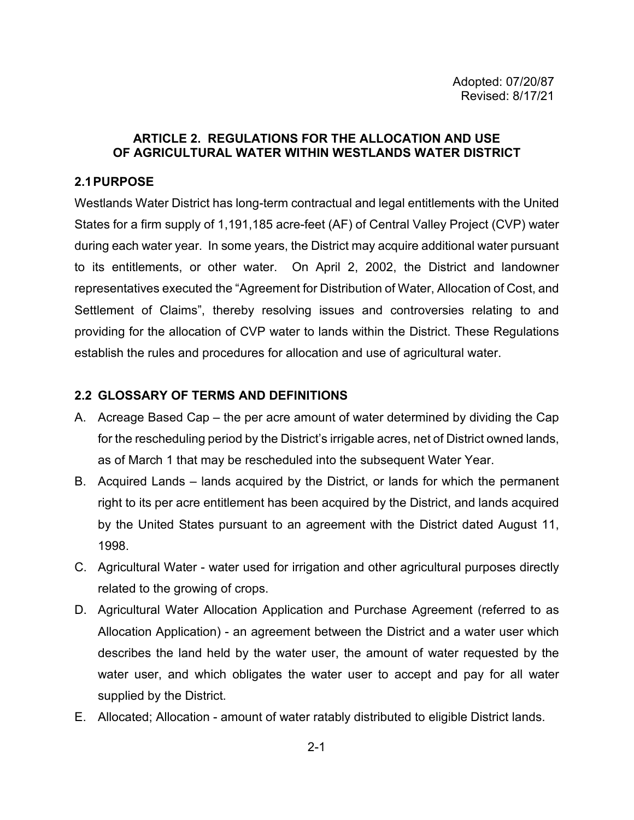# **ARTICLE 2. REGULATIONS FOR THE ALLOCATION AND USE OF AGRICULTURAL WATER WITHIN WESTLANDS WATER DISTRICT**

# **2.1PURPOSE**

Westlands Water District has long-term contractual and legal entitlements with the United States for a firm supply of 1,191,185 acre-feet (AF) of Central Valley Project (CVP) water during each water year. In some years, the District may acquire additional water pursuant to its entitlements, or other water. On April 2, 2002, the District and landowner representatives executed the "Agreement for Distribution of Water, Allocation of Cost, and Settlement of Claims", thereby resolving issues and controversies relating to and providing for the allocation of CVP water to lands within the District. These Regulations establish the rules and procedures for allocation and use of agricultural water.

# **2.2 GLOSSARY OF TERMS AND DEFINITIONS**

- A. Acreage Based Cap the per acre amount of water determined by dividing the Cap for the rescheduling period by the District's irrigable acres, net of District owned lands, as of March 1 that may be rescheduled into the subsequent Water Year.
- B. Acquired Lands lands acquired by the District, or lands for which the permanent right to its per acre entitlement has been acquired by the District, and lands acquired by the United States pursuant to an agreement with the District dated August 11, 1998.
- C. Agricultural Water water used for irrigation and other agricultural purposes directly related to the growing of crops.
- D. Agricultural Water Allocation Application and Purchase Agreement (referred to as Allocation Application) - an agreement between the District and a water user which describes the land held by the water user, the amount of water requested by the water user, and which obligates the water user to accept and pay for all water supplied by the District.
- E. Allocated; Allocation amount of water ratably distributed to eligible District lands.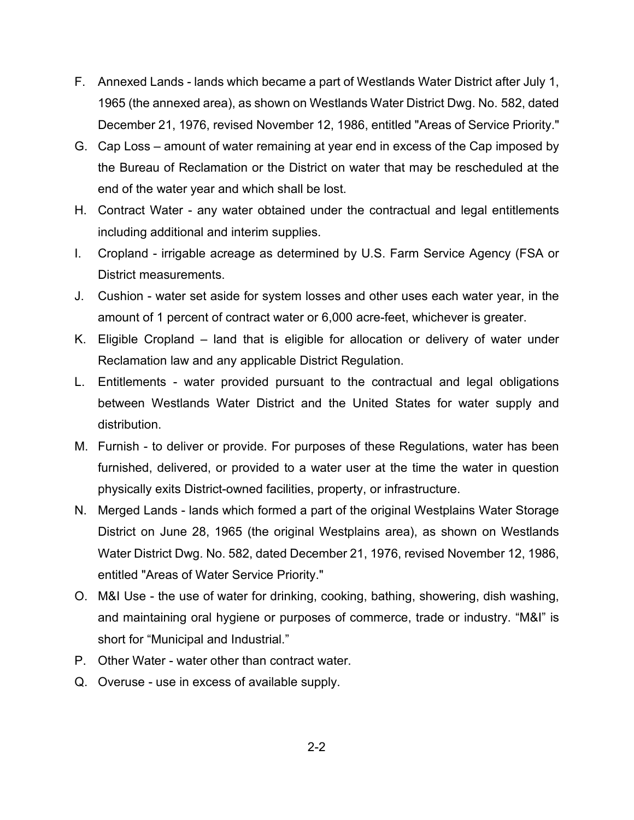- F. Annexed Lands lands which became a part of Westlands Water District after July 1, 1965 (the annexed area), as shown on Westlands Water District Dwg. No. 582, dated December 21, 1976, revised November 12, 1986, entitled "Areas of Service Priority."
- G. Cap Loss amount of water remaining at year end in excess of the Cap imposed by the Bureau of Reclamation or the District on water that may be rescheduled at the end of the water year and which shall be lost.
- H. Contract Water any water obtained under the contractual and legal entitlements including additional and interim supplies.
- I. Cropland irrigable acreage as determined by U.S. Farm Service Agency (FSA or District measurements.
- J. Cushion water set aside for system losses and other uses each water year, in the amount of 1 percent of contract water or 6,000 acre-feet, whichever is greater.
- K. Eligible Cropland land that is eligible for allocation or delivery of water under Reclamation law and any applicable District Regulation.
- L. Entitlements water provided pursuant to the contractual and legal obligations between Westlands Water District and the United States for water supply and distribution.
- M. Furnish to deliver or provide. For purposes of these Regulations, water has been furnished, delivered, or provided to a water user at the time the water in question physically exits District-owned facilities, property, or infrastructure.
- N. Merged Lands lands which formed a part of the original Westplains Water Storage District on June 28, 1965 (the original Westplains area), as shown on Westlands Water District Dwg. No. 582, dated December 21, 1976, revised November 12, 1986, entitled "Areas of Water Service Priority."
- O. M&I Use the use of water for drinking, cooking, bathing, showering, dish washing, and maintaining oral hygiene or purposes of commerce, trade or industry. "M&I" is short for "Municipal and Industrial."
- P. Other Water water other than contract water.
- Q. Overuse use in excess of available supply.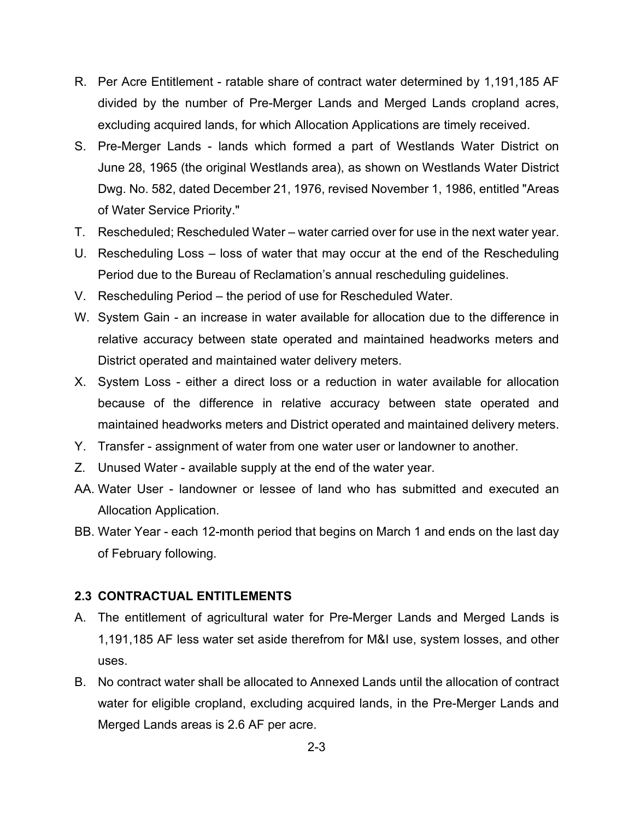- R. Per Acre Entitlement ratable share of contract water determined by 1,191,185 AF divided by the number of Pre-Merger Lands and Merged Lands cropland acres, excluding acquired lands, for which Allocation Applications are timely received.
- S. Pre-Merger Lands lands which formed a part of Westlands Water District on June 28, 1965 (the original Westlands area), as shown on Westlands Water District Dwg. No. 582, dated December 21, 1976, revised November 1, 1986, entitled "Areas of Water Service Priority."
- T. Rescheduled; Rescheduled Water water carried over for use in the next water year.
- U. Rescheduling Loss loss of water that may occur at the end of the Rescheduling Period due to the Bureau of Reclamation's annual rescheduling guidelines.
- V. Rescheduling Period the period of use for Rescheduled Water.
- W. System Gain an increase in water available for allocation due to the difference in relative accuracy between state operated and maintained headworks meters and District operated and maintained water delivery meters.
- X. System Loss either a direct loss or a reduction in water available for allocation because of the difference in relative accuracy between state operated and maintained headworks meters and District operated and maintained delivery meters.
- Y. Transfer assignment of water from one water user or landowner to another.
- Z. Unused Water available supply at the end of the water year.
- AA. Water User landowner or lessee of land who has submitted and executed an Allocation Application.
- BB. Water Year each 12-month period that begins on March 1 and ends on the last day of February following.

## **2.3 CONTRACTUAL ENTITLEMENTS**

- A. The entitlement of agricultural water for Pre-Merger Lands and Merged Lands is 1,191,185 AF less water set aside therefrom for M&I use, system losses, and other uses.
- B. No contract water shall be allocated to Annexed Lands until the allocation of contract water for eligible cropland, excluding acquired lands, in the Pre-Merger Lands and Merged Lands areas is 2.6 AF per acre.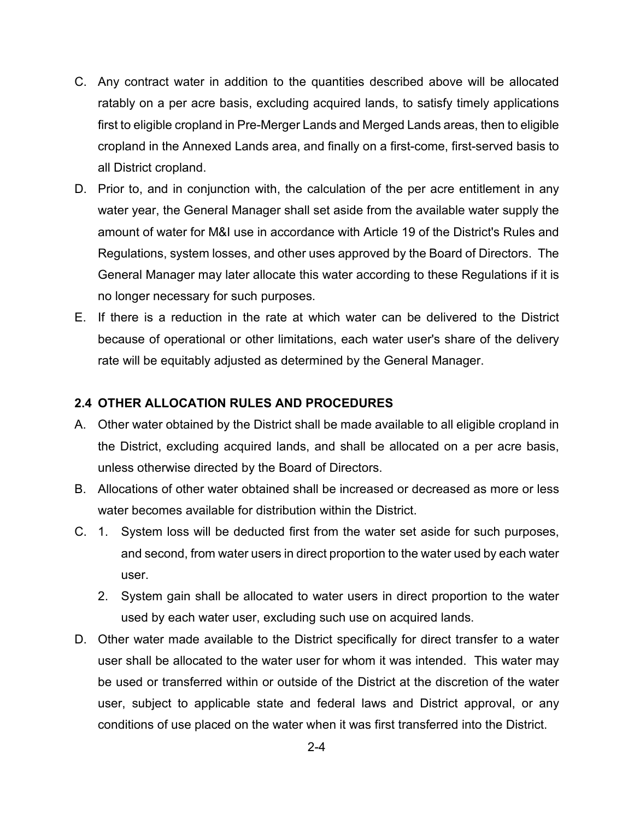- C. Any contract water in addition to the quantities described above will be allocated ratably on a per acre basis, excluding acquired lands, to satisfy timely applications first to eligible cropland in Pre-Merger Lands and Merged Lands areas, then to eligible cropland in the Annexed Lands area, and finally on a first-come, first-served basis to all District cropland.
- D. Prior to, and in conjunction with, the calculation of the per acre entitlement in any water year, the General Manager shall set aside from the available water supply the amount of water for M&I use in accordance with Article 19 of the District's Rules and Regulations, system losses, and other uses approved by the Board of Directors. The General Manager may later allocate this water according to these Regulations if it is no longer necessary for such purposes.
- E. If there is a reduction in the rate at which water can be delivered to the District because of operational or other limitations, each water user's share of the delivery rate will be equitably adjusted as determined by the General Manager.

## **2.4 OTHER ALLOCATION RULES AND PROCEDURES**

- A. Other water obtained by the District shall be made available to all eligible cropland in the District, excluding acquired lands, and shall be allocated on a per acre basis, unless otherwise directed by the Board of Directors.
- B. Allocations of other water obtained shall be increased or decreased as more or less water becomes available for distribution within the District.
- C. 1. System loss will be deducted first from the water set aside for such purposes, and second, from water users in direct proportion to the water used by each water user.
	- 2. System gain shall be allocated to water users in direct proportion to the water used by each water user, excluding such use on acquired lands.
- D. Other water made available to the District specifically for direct transfer to a water user shall be allocated to the water user for whom it was intended. This water may be used or transferred within or outside of the District at the discretion of the water user, subject to applicable state and federal laws and District approval, or any conditions of use placed on the water when it was first transferred into the District.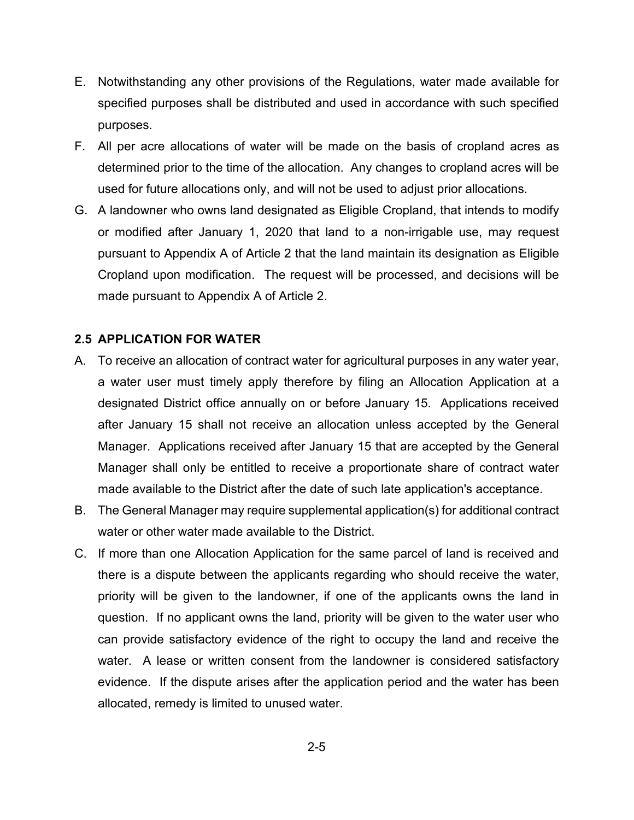- E. Notwithstanding any other provisions of the Regulations, water made available for specified purposes shall be distributed and used in accordance with such specified purposes.
- F. All per acre allocations of water will be made on the basis of cropland acres as determined prior to the time of the allocation. Any changes to cropland acres will be used for future allocations only, and will not be used to adjust prior allocations.
- G. A landowner who owns land designated as Eligible Cropland, that intends to modify or modified after January 1, 2020 that land to a non-irrigable use, may request pursuant to Appendix A of Article 2 that the land maintain its designation as Eligible Cropland upon modification. The request will be processed, and decisions will be made pursuant to Appendix A of Article 2.

## **2.5 APPLICATION FOR WATER**

- A. To receive an allocation of contract water for agricultural purposes in any water year, a water user must timely apply therefore by filing an Allocation Application at a designated District office annually on or before January 15. Applications received after January 15 shall not receive an allocation unless accepted by the General Manager. Applications received after January 15 that are accepted by the General Manager shall only be entitled to receive a proportionate share of contract water made available to the District after the date of such late application's acceptance.
- B. The General Manager may require supplemental application(s) for additional contract water or other water made available to the District.
- C. If more than one Allocation Application for the same parcel of land is received and there is a dispute between the applicants regarding who should receive the water, priority will be given to the landowner, if one of the applicants owns the land in question. If no applicant owns the land, priority will be given to the water user who can provide satisfactory evidence of the right to occupy the land and receive the water. A lease or written consent from the landowner is considered satisfactory evidence. If the dispute arises after the application period and the water has been allocated, remedy is limited to unused water.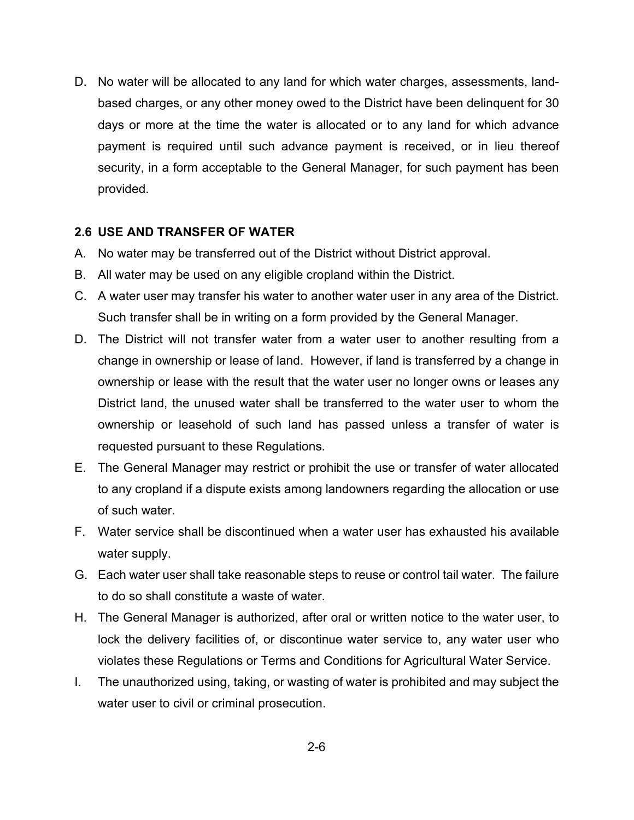D. No water will be allocated to any land for which water charges, assessments, landbased charges, or any other money owed to the District have been delinquent for 30 days or more at the time the water is allocated or to any land for which advance payment is required until such advance payment is received, or in lieu thereof security, in a form acceptable to the General Manager, for such payment has been provided.

## **2.6 USE AND TRANSFER OF WATER**

- A. No water may be transferred out of the District without District approval.
- B. All water may be used on any eligible cropland within the District.
- C. A water user may transfer his water to another water user in any area of the District. Such transfer shall be in writing on a form provided by the General Manager.
- D. The District will not transfer water from a water user to another resulting from a change in ownership or lease of land. However, if land is transferred by a change in ownership or lease with the result that the water user no longer owns or leases any District land, the unused water shall be transferred to the water user to whom the ownership or leasehold of such land has passed unless a transfer of water is requested pursuant to these Regulations.
- E. The General Manager may restrict or prohibit the use or transfer of water allocated to any cropland if a dispute exists among landowners regarding the allocation or use of such water.
- F. Water service shall be discontinued when a water user has exhausted his available water supply.
- G. Each water user shall take reasonable steps to reuse or control tail water. The failure to do so shall constitute a waste of water.
- H. The General Manager is authorized, after oral or written notice to the water user, to lock the delivery facilities of, or discontinue water service to, any water user who violates these Regulations or Terms and Conditions for Agricultural Water Service.
- I. The unauthorized using, taking, or wasting of water is prohibited and may subject the water user to civil or criminal prosecution.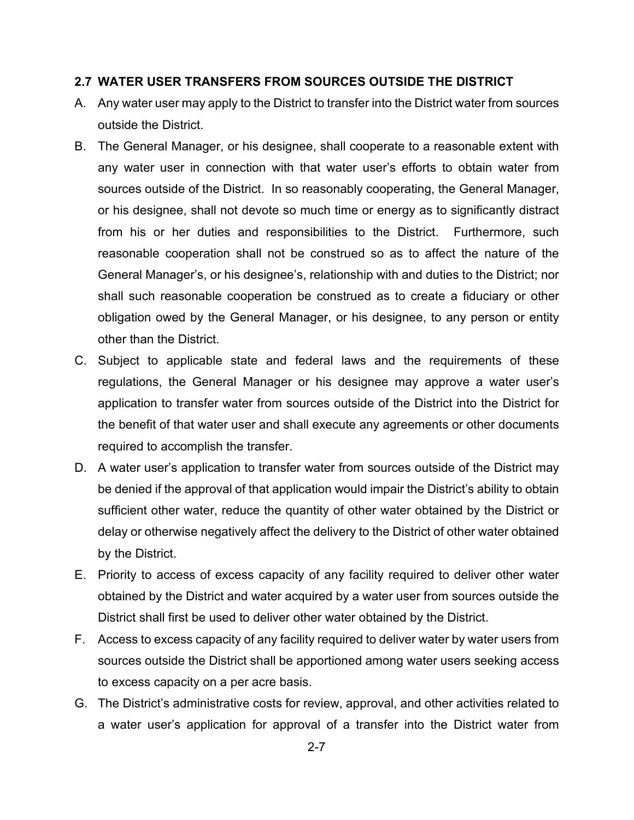## **2.7 WATER USER TRANSFERS FROM SOURCES OUTSIDE THE DISTRICT**

- A. Any water user may apply to the District to transfer into the District water from sources outside the District.
- B. The General Manager, or his designee, shall cooperate to a reasonable extent with any water user in connection with that water user's efforts to obtain water from sources outside of the District. In so reasonably cooperating, the General Manager, or his designee, shall not devote so much time or energy as to significantly distract from his or her duties and responsibilities to the District. Furthermore, such reasonable cooperation shall not be construed so as to affect the nature of the General Manager's, or his designee's, relationship with and duties to the District; nor shall such reasonable cooperation be construed as to create a fiduciary or other obligation owed by the General Manager, or his designee, to any person or entity other than the District.
- C. Subject to applicable state and federal laws and the requirements of these regulations, the General Manager or his designee may approve a water user's application to transfer water from sources outside of the District into the District for the benefit of that water user and shall execute any agreements or other documents required to accomplish the transfer.
- D. A water user's application to transfer water from sources outside of the District may be denied if the approval of that application would impair the District's ability to obtain sufficient other water, reduce the quantity of other water obtained by the District or delay or otherwise negatively affect the delivery to the District of other water obtained by the District.
- E. Priority to access of excess capacity of any facility required to deliver other water obtained by the District and water acquired by a water user from sources outside the District shall first be used to deliver other water obtained by the District.
- F. Access to excess capacity of any facility required to deliver water by water users from sources outside the District shall be apportioned among water users seeking access to excess capacity on a per acre basis.
- G. The District's administrative costs for review, approval, and other activities related to a water user's application for approval of a transfer into the District water from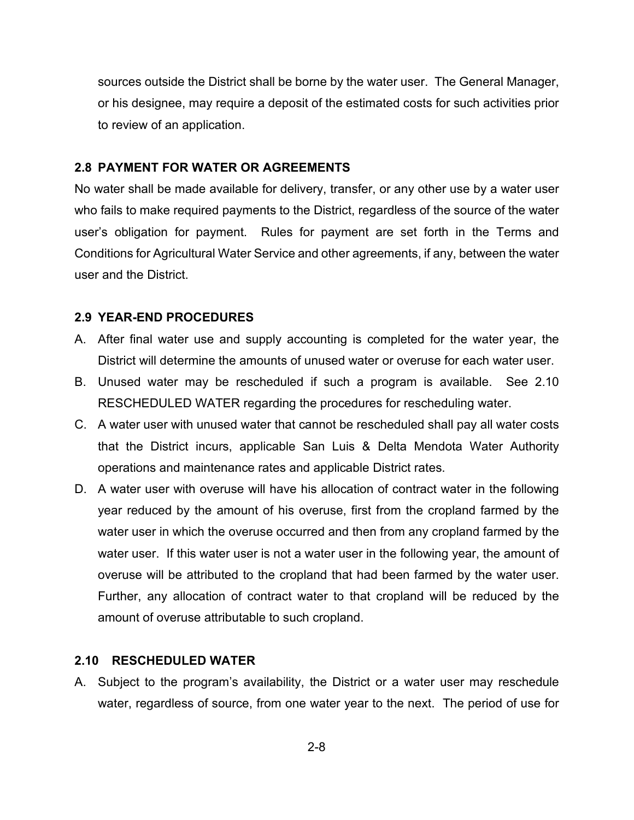sources outside the District shall be borne by the water user. The General Manager, or his designee, may require a deposit of the estimated costs for such activities prior to review of an application.

#### **2.8 PAYMENT FOR WATER OR AGREEMENTS**

No water shall be made available for delivery, transfer, or any other use by a water user who fails to make required payments to the District, regardless of the source of the water user's obligation for payment. Rules for payment are set forth in the Terms and Conditions for Agricultural Water Service and other agreements, if any, between the water user and the District.

#### **2.9 YEAR-END PROCEDURES**

- A. After final water use and supply accounting is completed for the water year, the District will determine the amounts of unused water or overuse for each water user.
- B. Unused water may be rescheduled if such a program is available. See 2.10 RESCHEDULED WATER regarding the procedures for rescheduling water.
- C. A water user with unused water that cannot be rescheduled shall pay all water costs that the District incurs, applicable San Luis & Delta Mendota Water Authority operations and maintenance rates and applicable District rates.
- D. A water user with overuse will have his allocation of contract water in the following year reduced by the amount of his overuse, first from the cropland farmed by the water user in which the overuse occurred and then from any cropland farmed by the water user. If this water user is not a water user in the following year, the amount of overuse will be attributed to the cropland that had been farmed by the water user. Further, any allocation of contract water to that cropland will be reduced by the amount of overuse attributable to such cropland.

#### **2.10 RESCHEDULED WATER**

A. Subject to the program's availability, the District or a water user may reschedule water, regardless of source, from one water year to the next. The period of use for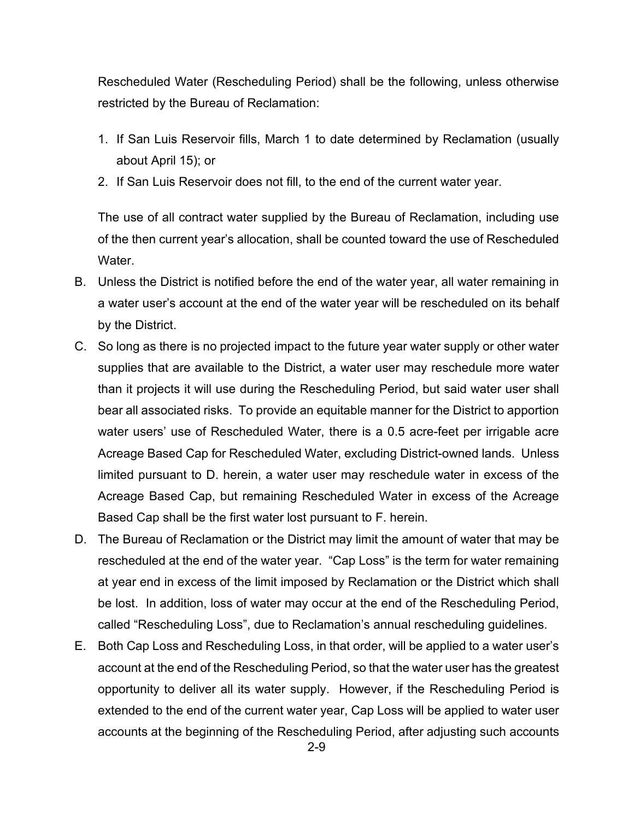Rescheduled Water (Rescheduling Period) shall be the following, unless otherwise restricted by the Bureau of Reclamation:

- 1. If San Luis Reservoir fills, March 1 to date determined by Reclamation (usually about April 15); or
- 2. If San Luis Reservoir does not fill, to the end of the current water year.

The use of all contract water supplied by the Bureau of Reclamation, including use of the then current year's allocation, shall be counted toward the use of Rescheduled Water.

- B. Unless the District is notified before the end of the water year, all water remaining in a water user's account at the end of the water year will be rescheduled on its behalf by the District.
- C. So long as there is no projected impact to the future year water supply or other water supplies that are available to the District, a water user may reschedule more water than it projects it will use during the Rescheduling Period, but said water user shall bear all associated risks. To provide an equitable manner for the District to apportion water users' use of Rescheduled Water, there is a 0.5 acre-feet per irrigable acre Acreage Based Cap for Rescheduled Water, excluding District-owned lands. Unless limited pursuant to D. herein, a water user may reschedule water in excess of the Acreage Based Cap, but remaining Rescheduled Water in excess of the Acreage Based Cap shall be the first water lost pursuant to F. herein.
- D. The Bureau of Reclamation or the District may limit the amount of water that may be rescheduled at the end of the water year. "Cap Loss" is the term for water remaining at year end in excess of the limit imposed by Reclamation or the District which shall be lost. In addition, loss of water may occur at the end of the Rescheduling Period, called "Rescheduling Loss", due to Reclamation's annual rescheduling guidelines.
- E. Both Cap Loss and Rescheduling Loss, in that order, will be applied to a water user's account at the end of the Rescheduling Period, so that the water user has the greatest opportunity to deliver all its water supply. However, if the Rescheduling Period is extended to the end of the current water year, Cap Loss will be applied to water user accounts at the beginning of the Rescheduling Period, after adjusting such accounts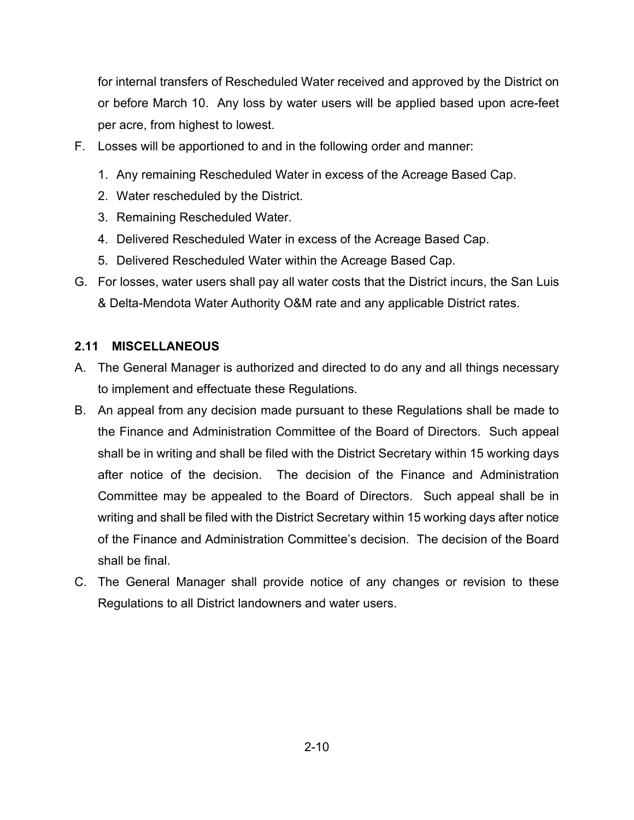for internal transfers of Rescheduled Water received and approved by the District on or before March 10. Any loss by water users will be applied based upon acre-feet per acre, from highest to lowest.

- F. Losses will be apportioned to and in the following order and manner:
	- 1. Any remaining Rescheduled Water in excess of the Acreage Based Cap.
	- 2. Water rescheduled by the District.
	- 3. Remaining Rescheduled Water.
	- 4. Delivered Rescheduled Water in excess of the Acreage Based Cap.
	- 5. Delivered Rescheduled Water within the Acreage Based Cap.
- G. For losses, water users shall pay all water costs that the District incurs, the San Luis & Delta-Mendota Water Authority O&M rate and any applicable District rates.

# **2.11 MISCELLANEOUS**

- A. The General Manager is authorized and directed to do any and all things necessary to implement and effectuate these Regulations.
- B. An appeal from any decision made pursuant to these Regulations shall be made to the Finance and Administration Committee of the Board of Directors. Such appeal shall be in writing and shall be filed with the District Secretary within 15 working days after notice of the decision. The decision of the Finance and Administration Committee may be appealed to the Board of Directors. Such appeal shall be in writing and shall be filed with the District Secretary within 15 working days after notice of the Finance and Administration Committee's decision. The decision of the Board shall be final.
- C. The General Manager shall provide notice of any changes or revision to these Regulations to all District landowners and water users.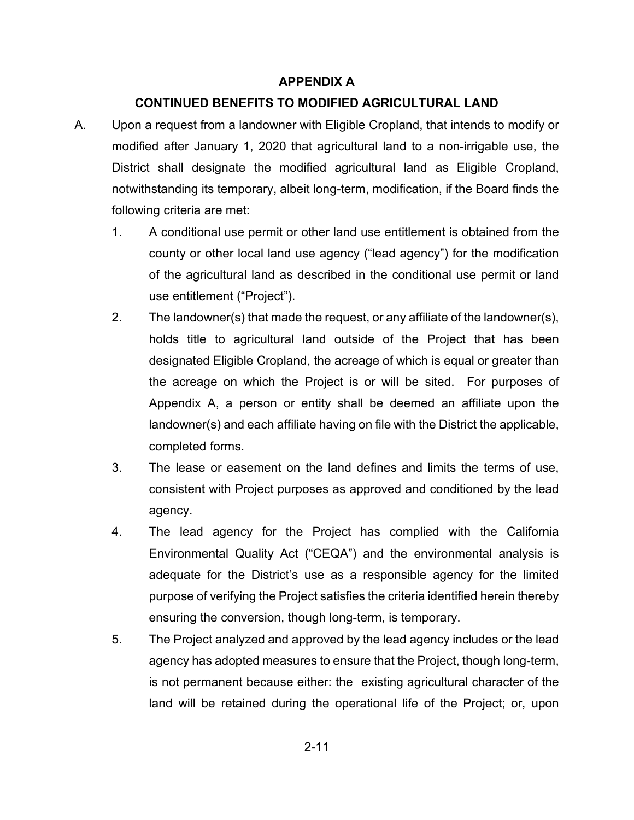# **APPENDIX A**

# **CONTINUED BENEFITS TO MODIFIED AGRICULTURAL LAND**

- A. Upon a request from a landowner with Eligible Cropland, that intends to modify or modified after January 1, 2020 that agricultural land to a non-irrigable use, the District shall designate the modified agricultural land as Eligible Cropland, notwithstanding its temporary, albeit long-term, modification, if the Board finds the following criteria are met:
	- 1. A conditional use permit or other land use entitlement is obtained from the county or other local land use agency ("lead agency") for the modification of the agricultural land as described in the conditional use permit or land use entitlement ("Project").
	- 2. The landowner(s) that made the request, or any affiliate of the landowner(s), holds title to agricultural land outside of the Project that has been designated Eligible Cropland, the acreage of which is equal or greater than the acreage on which the Project is or will be sited. For purposes of Appendix A, a person or entity shall be deemed an affiliate upon the landowner(s) and each affiliate having on file with the District the applicable, completed forms.
	- 3. The lease or easement on the land defines and limits the terms of use, consistent with Project purposes as approved and conditioned by the lead agency.
	- 4. The lead agency for the Project has complied with the California Environmental Quality Act ("CEQA") and the environmental analysis is adequate for the District's use as a responsible agency for the limited purpose of verifying the Project satisfies the criteria identified herein thereby ensuring the conversion, though long-term, is temporary.
	- 5. The Project analyzed and approved by the lead agency includes or the lead agency has adopted measures to ensure that the Project, though long-term, is not permanent because either: the existing agricultural character of the land will be retained during the operational life of the Project; or, upon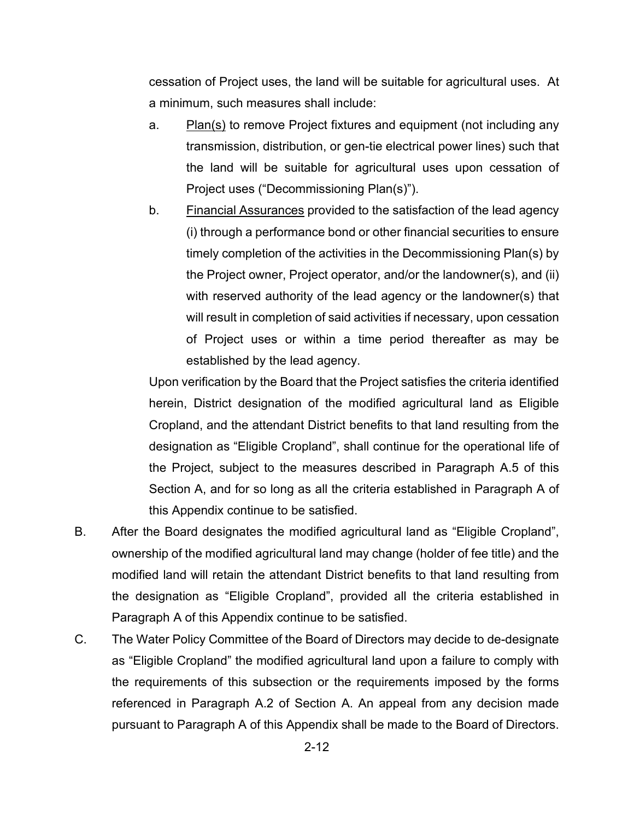cessation of Project uses, the land will be suitable for agricultural uses. At a minimum, such measures shall include:

- a. Plan(s) to remove Project fixtures and equipment (not including any transmission, distribution, or gen-tie electrical power lines) such that the land will be suitable for agricultural uses upon cessation of Project uses ("Decommissioning Plan(s)").
- b. Financial Assurances provided to the satisfaction of the lead agency (i) through a performance bond or other financial securities to ensure timely completion of the activities in the Decommissioning Plan(s) by the Project owner, Project operator, and/or the landowner(s), and (ii) with reserved authority of the lead agency or the landowner(s) that will result in completion of said activities if necessary, upon cessation of Project uses or within a time period thereafter as may be established by the lead agency.

Upon verification by the Board that the Project satisfies the criteria identified herein, District designation of the modified agricultural land as Eligible Cropland, and the attendant District benefits to that land resulting from the designation as "Eligible Cropland", shall continue for the operational life of the Project, subject to the measures described in Paragraph A.5 of this Section A, and for so long as all the criteria established in Paragraph A of this Appendix continue to be satisfied.

- B. After the Board designates the modified agricultural land as "Eligible Cropland", ownership of the modified agricultural land may change (holder of fee title) and the modified land will retain the attendant District benefits to that land resulting from the designation as "Eligible Cropland", provided all the criteria established in Paragraph A of this Appendix continue to be satisfied.
- C. The Water Policy Committee of the Board of Directors may decide to de-designate as "Eligible Cropland" the modified agricultural land upon a failure to comply with the requirements of this subsection or the requirements imposed by the forms referenced in Paragraph A.2 of Section A. An appeal from any decision made pursuant to Paragraph A of this Appendix shall be made to the Board of Directors.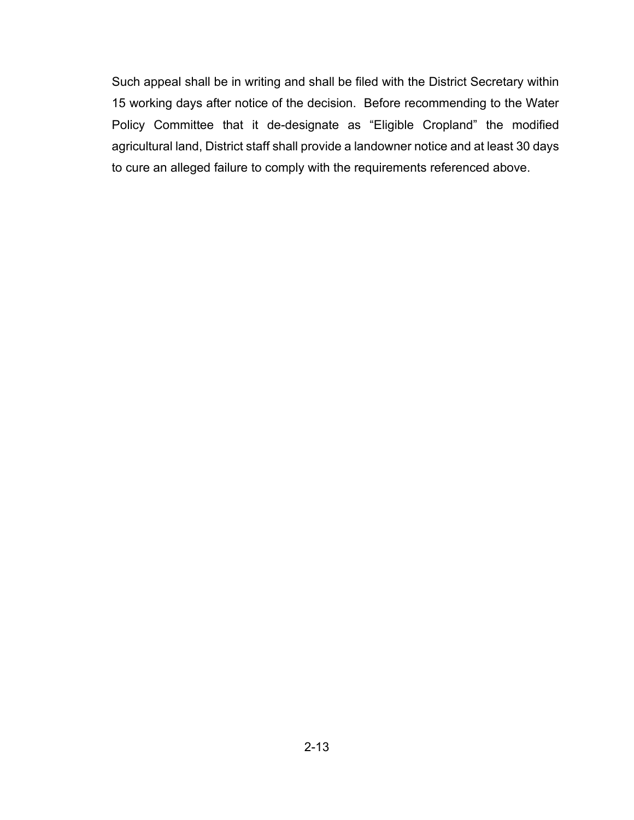Such appeal shall be in writing and shall be filed with the District Secretary within 15 working days after notice of the decision. Before recommending to the Water Policy Committee that it de-designate as "Eligible Cropland" the modified agricultural land, District staff shall provide a landowner notice and at least 30 days to cure an alleged failure to comply with the requirements referenced above.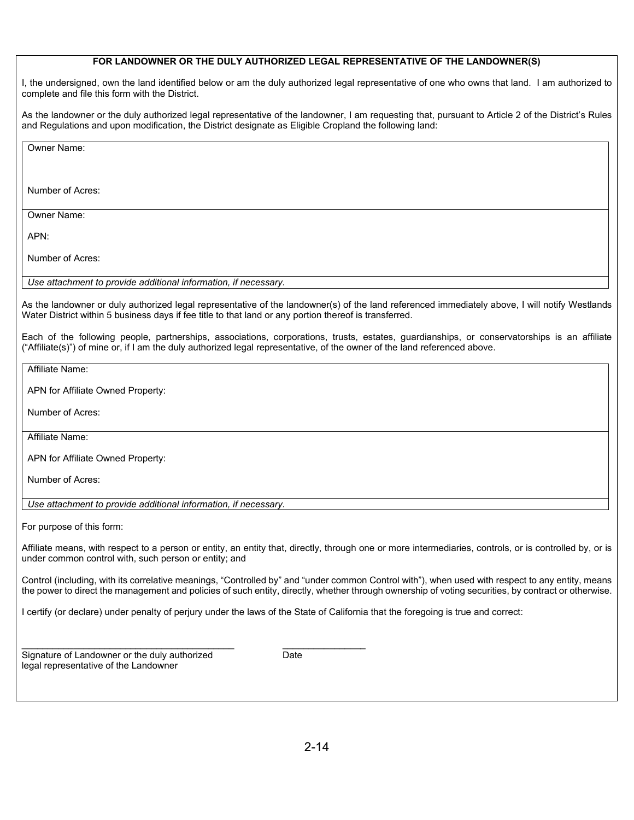#### **FOR LANDOWNER OR THE DULY AUTHORIZED LEGAL REPRESENTATIVE OF THE LANDOWNER(S)**

I, the undersigned, own the land identified below or am the duly authorized legal representative of one who owns that land. I am authorized to complete and file this form with the District.

As the landowner or the duly authorized legal representative of the landowner, I am requesting that, pursuant to Article 2 of the District's Rules and Regulations and upon modification, the District designate as Eligible Cropland the following land:

Owner Name:

Number of Acres:

Owner Name:

APN:

Number of Acres:

*Use attachment to provide additional information, if necessary.*

As the landowner or duly authorized legal representative of the landowner(s) of the land referenced immediately above, I will notify Westlands Water District within 5 business days if fee title to that land or any portion thereof is transferred.

Each of the following people, partnerships, associations, corporations, trusts, estates, guardianships, or conservatorships is an affiliate ("Affiliate(s)") of mine or, if I am the duly authorized legal representative, of the owner of the land referenced above.

Affiliate Name:

APN for Affiliate Owned Property:

Number of Acres:

Affiliate Name:

APN for Affiliate Owned Property:

Number of Acres:

*Use attachment to provide additional information, if necessary.*

 $\frac{1}{2}$  ,  $\frac{1}{2}$  ,  $\frac{1}{2}$  ,  $\frac{1}{2}$  ,  $\frac{1}{2}$  ,  $\frac{1}{2}$  ,  $\frac{1}{2}$  ,  $\frac{1}{2}$  ,  $\frac{1}{2}$  ,  $\frac{1}{2}$  ,  $\frac{1}{2}$  ,  $\frac{1}{2}$  ,  $\frac{1}{2}$  ,  $\frac{1}{2}$  ,  $\frac{1}{2}$  ,  $\frac{1}{2}$  ,  $\frac{1}{2}$  ,  $\frac{1}{2}$  ,  $\frac{1$ 

For purpose of this form:

Affiliate means, with respect to a person or entity, an entity that, directly, through one or more intermediaries, controls, or is controlled by, or is under common control with, such person or entity; and

Control (including, with its correlative meanings, "Controlled by" and "under common Control with"), when used with respect to any entity, means the power to direct the management and policies of such entity, directly, whether through ownership of voting securities, by contract or otherwise.

I certify (or declare) under penalty of perjury under the laws of the State of California that the foregoing is true and correct:

Signature of Landowner or the duly authorized Date legal representative of the Landowner